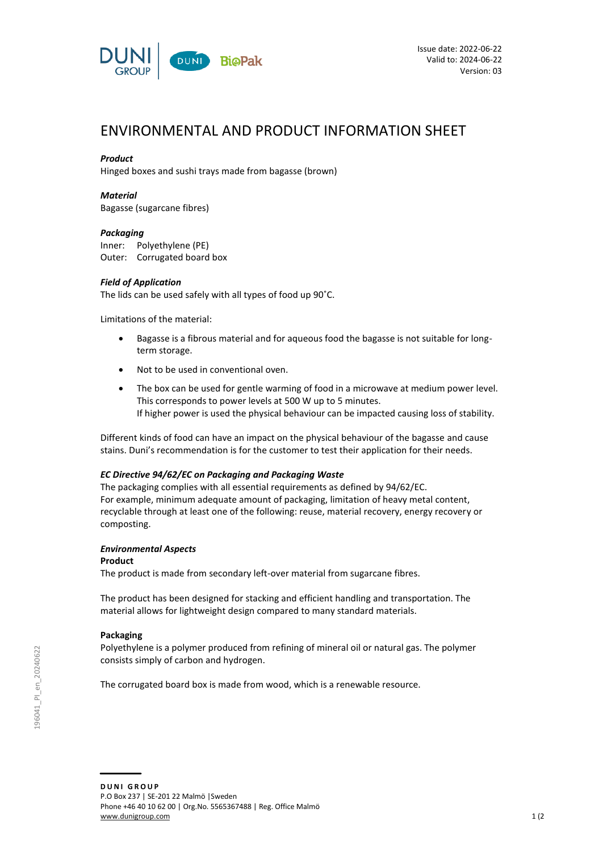

# ENVIRONMENTAL AND PRODUCT INFORMATION SHEET

# *Product*

Hinged boxes and sushi trays made from bagasse (brown)

## *Material*

Bagasse (sugarcane fibres)

## *Packaging*

Inner: Polyethylene (PE) Outer: Corrugated board box

## *Field of Application*

The lids can be used safely with all types of food up 90˚C.

Limitations of the material:

- Bagasse is a fibrous material and for aqueous food the bagasse is not suitable for longterm storage.
- Not to be used in conventional oven.
- The box can be used for gentle warming of food in a microwave at medium power level. This corresponds to power levels at 500 W up to 5 minutes. If higher power is used the physical behaviour can be impacted causing loss of stability.

Different kinds of food can have an impact on the physical behaviour of the bagasse and cause stains. Duni's recommendation is for the customer to test their application for their needs.

## *EC Directive 94/62/EC on Packaging and Packaging Waste*

The packaging complies with all essential requirements as defined by 94/62/EC. For example, minimum adequate amount of packaging, limitation of heavy metal content, recyclable through at least one of the following: reuse, material recovery, energy recovery or composting.

## *Environmental Aspects*

#### **Product**

The product is made from secondary left-over material from sugarcane fibres.

The product has been designed for stacking and efficient handling and transportation. The material allows for lightweight design compared to many standard materials.

## **Packaging**

Polyethylene is a polymer produced from refining of mineral oil or natural gas. The polymer consists simply of carbon and hydrogen.

The corrugated board box is made from wood, which is a renewable resource.